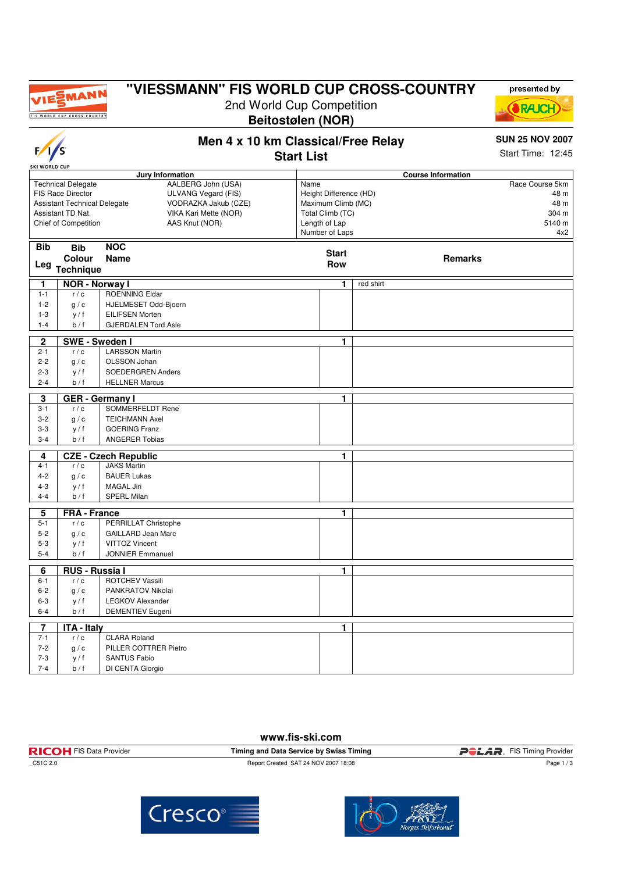

 $\overline{\phantom{a}}$ 

# **"VIESSMANN" FIS WORLD CUP CROSS-COUNTRY**

2nd World Cup Competition **Beitostølen (NOR)**



**Men 4 x 10 km Classical/Free Relay**

#### **SUN 25 NOV 2007**

Start Time: 12:45

| $\gamma$                                 |                                                                                                                                    |                                                                                                              | <b>Start List</b> |                                                                                                     |           |                | Start Time: 12:45                                         |
|------------------------------------------|------------------------------------------------------------------------------------------------------------------------------------|--------------------------------------------------------------------------------------------------------------|-------------------|-----------------------------------------------------------------------------------------------------|-----------|----------------|-----------------------------------------------------------|
| <b>SKI WORLD CUP</b><br>Jury Information |                                                                                                                                    |                                                                                                              |                   | <b>Course Information</b>                                                                           |           |                |                                                           |
|                                          | <b>Technical Delegate</b><br>FIS Race Director<br><b>Assistant Technical Delegate</b><br>Assistant TD Nat.<br>Chief of Competition | AALBERG John (USA)<br>ULVANG Vegard (FIS)<br>VODRAZKA Jakub (CZE)<br>VIKA Kari Mette (NOR)<br>AAS Knut (NOR) | Name              | Height Difference (HD)<br>Maximum Climb (MC)<br>Total Climb (TC)<br>Length of Lap<br>Number of Laps |           |                | Race Course 5km<br>48 m<br>48 m<br>304 m<br>5140 m<br>4x2 |
| <b>Bib</b><br>Leg                        | <b>Bib</b><br>Colour<br><b>Technique</b>                                                                                           | <b>NOC</b><br>Name                                                                                           |                   | <b>Start</b><br><b>Row</b>                                                                          |           | <b>Remarks</b> |                                                           |
| 1                                        | <b>NOR - Norway I</b>                                                                                                              |                                                                                                              |                   | 1                                                                                                   | red shirt |                |                                                           |
| $1 - 1$                                  | r/c                                                                                                                                | <b>ROENNING Eldar</b>                                                                                        |                   |                                                                                                     |           |                |                                                           |
| $1 - 2$                                  | g/c                                                                                                                                | HJELMESET Odd-Bjoern                                                                                         |                   |                                                                                                     |           |                |                                                           |
| $1 - 3$                                  | y / f                                                                                                                              | <b>EILIFSEN Morten</b>                                                                                       |                   |                                                                                                     |           |                |                                                           |
| $1 - 4$                                  | b/f                                                                                                                                | <b>GJERDALEN Tord Asle</b>                                                                                   |                   |                                                                                                     |           |                |                                                           |
| $\mathbf{2}$                             | <b>SWE-Sweden I</b>                                                                                                                |                                                                                                              |                   | 1.                                                                                                  |           |                |                                                           |
| $2 - 1$                                  | r/c                                                                                                                                | <b>LARSSON Martin</b>                                                                                        |                   |                                                                                                     |           |                |                                                           |
| $2 - 2$                                  | g/c                                                                                                                                | OLSSON Johan                                                                                                 |                   |                                                                                                     |           |                |                                                           |
| $2 - 3$                                  | y / f                                                                                                                              | SOEDERGREN Anders                                                                                            |                   |                                                                                                     |           |                |                                                           |
| $2 - 4$                                  | b/f                                                                                                                                | <b>HELLNER Marcus</b>                                                                                        |                   |                                                                                                     |           |                |                                                           |
| 3                                        |                                                                                                                                    | <b>GER</b> - Germany I                                                                                       |                   | 1                                                                                                   |           |                |                                                           |
| $3 - 1$                                  | r/c                                                                                                                                | SOMMERFELDT Rene                                                                                             |                   |                                                                                                     |           |                |                                                           |
| $3 - 2$                                  | g/c                                                                                                                                | <b>TEICHMANN Axel</b>                                                                                        |                   |                                                                                                     |           |                |                                                           |
| $3 - 3$                                  | y / f                                                                                                                              | <b>GOERING Franz</b>                                                                                         |                   |                                                                                                     |           |                |                                                           |
| $3 - 4$                                  | b / f                                                                                                                              | <b>ANGERER Tobias</b>                                                                                        |                   |                                                                                                     |           |                |                                                           |
| 4                                        |                                                                                                                                    | <b>CZE - Czech Republic</b>                                                                                  |                   | 1                                                                                                   |           |                |                                                           |
| $4 - 1$                                  | r/c                                                                                                                                | <b>JAKS Martin</b>                                                                                           |                   |                                                                                                     |           |                |                                                           |
| $4 - 2$                                  | g / c                                                                                                                              | <b>BAUER Lukas</b>                                                                                           |                   |                                                                                                     |           |                |                                                           |
| $4 - 3$                                  | y / f                                                                                                                              | <b>MAGAL Jiri</b>                                                                                            |                   |                                                                                                     |           |                |                                                           |
| $4 - 4$                                  | b/f                                                                                                                                | <b>SPERL Milan</b>                                                                                           |                   |                                                                                                     |           |                |                                                           |
| 5                                        | <b>FRA - France</b>                                                                                                                |                                                                                                              |                   | 1                                                                                                   |           |                |                                                           |
| $5 - 1$                                  | r/c                                                                                                                                | PERRILLAT Christophe                                                                                         |                   |                                                                                                     |           |                |                                                           |
| $5-2$                                    | g/c                                                                                                                                | <b>GAILLARD Jean Marc</b>                                                                                    |                   |                                                                                                     |           |                |                                                           |
| $5-3$                                    | y / f                                                                                                                              | <b>VITTOZ Vincent</b>                                                                                        |                   |                                                                                                     |           |                |                                                           |
| $5 - 4$                                  | b/f                                                                                                                                | <b>JONNIER Emmanuel</b>                                                                                      |                   |                                                                                                     |           |                |                                                           |
| 6                                        | <b>RUS - Russia I</b>                                                                                                              |                                                                                                              |                   | 1                                                                                                   |           |                |                                                           |
| $6 - 1$                                  | r/c                                                                                                                                | ROTCHEV Vassili                                                                                              |                   |                                                                                                     |           |                |                                                           |
| $6 - 2$                                  | g/c                                                                                                                                | PANKRATOV Nikolai                                                                                            |                   |                                                                                                     |           |                |                                                           |
| $6 - 3$                                  | y / f                                                                                                                              | <b>LEGKOV Alexander</b>                                                                                      |                   |                                                                                                     |           |                |                                                           |
| $6 - 4$                                  | b/f                                                                                                                                | <b>DEMENTIEV Eugeni</b>                                                                                      |                   |                                                                                                     |           |                |                                                           |
| $\overline{7}$                           | <b>ITA - Italy</b>                                                                                                                 |                                                                                                              |                   | 1                                                                                                   |           |                |                                                           |
| $7 - 1$                                  | r/c                                                                                                                                | <b>CLARA Roland</b>                                                                                          |                   |                                                                                                     |           |                |                                                           |
| $7 - 2$                                  | g/c                                                                                                                                | PILLER COTTRER Pietro                                                                                        |                   |                                                                                                     |           |                |                                                           |
| $7 - 3$                                  | y / f                                                                                                                              | <b>SANTUS Fabio</b>                                                                                          |                   |                                                                                                     |           |                |                                                           |

#### **www.fis-ski.com**

| ************************       |                                         |                                    |  |
|--------------------------------|-----------------------------------------|------------------------------------|--|
| <b>RICOH</b> FIS Data Provider | Timing and Data Service by Swiss Timing | <b>POLAR</b> . FIS Timing Provider |  |
| C51C 2.0                       | Report Created SAT 24 NOV 2007 18:08    | Page 1/3                           |  |



7-4 b / f DI CENTA Giorgio

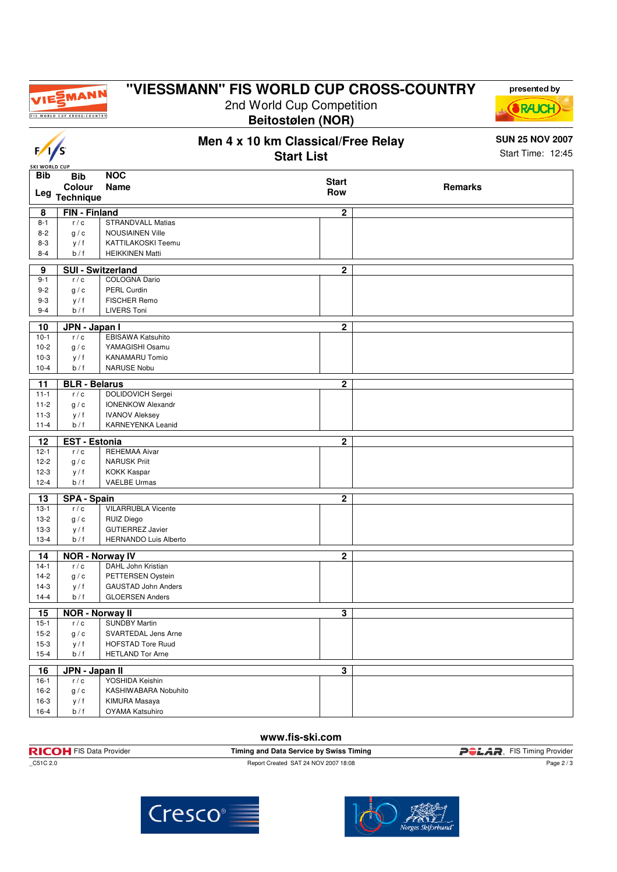

### **"VIESSMANN" FIS WORLD CUP CROSS-COUNTRY**

2nd World Cup Competition **Beitostølen (NOR)**

**Men 4 x 10 km Classical/Free Relay**



### **www.fis-ski.com**

| <b>RICOH</b> FIS Data Provider | Timing and Data Service by Swiss Timing | <b>POLAR</b> . FIS Timing Provider |
|--------------------------------|-----------------------------------------|------------------------------------|
| C51C 2.0                       | Report Created SAT 24 NOV 2007 18:08    | Page 2 / 3                         |







presented by

**SUN 25 NOV 2007**

Start Time: 12:45